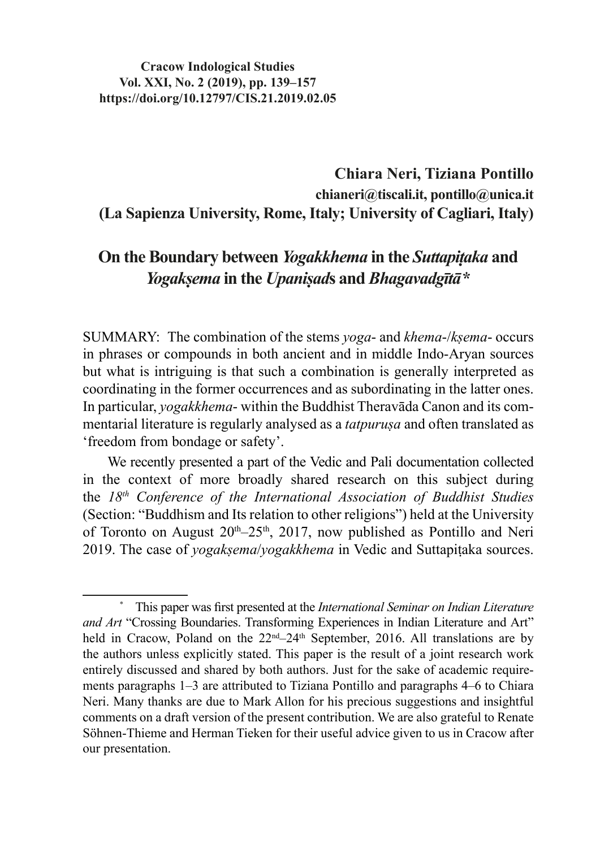#### **Cracow Indological Studies Vol. XXI, No. 2 (2019), pp. 139–157 https://doi.org/10.12797/CIS.21.2019.02.05**

## **Chiara Neri, Tiziana Pontillo chianeri@tiscali.it, pontillo@unica.it (La Sapienza University, Rome, Italy; University of Cagliari, Italy)**

# **On the Boundary between** *Yogakkhema* **in the** *Suttapiṭaka* **and**  *Yogakṣema* **in the** *Upaniṣad***s and** *Bhagavadgītā***\***

SUMMARY: The combination of the stems *yoga*- and *khema*-/*kṣema*- occurs in phrases or compounds in both ancient and in middle Indo-Aryan sources but what is intriguing is that such a combination is generally interpreted as coordinating in the former occurrences and as subordinating in the latter ones. In particular, *yogakkhema*- within the Buddhist Theravāda Canon and its commentarial literature is regularly analysed as a *tatpuruṣa* and often translated as 'freedom from bondage or safety'.

We recently presented a part of the Vedic and Pali documentation collected in the context of more broadly shared research on this subject during the *18th Conference of the International Association of Buddhist Studies*  (Section: "Buddhism and Its relation to other religions") held at the University of Toronto on August  $20<sup>th</sup> - 25<sup>th</sup>$ ,  $2017$ , now published as Pontillo and Neri 2019. The case of *yogakṣema*/*yogakkhema* in Vedic and Suttapiṭaka sources.

<sup>\*</sup> This paper was first presented at the *International Seminar on Indian Literature and Art* "Crossing Boundaries. Transforming Experiences in Indian Literature and Art" held in Cracow, Poland on the 22<sup>nd</sup>–24<sup>th</sup> September, 2016. All translations are by the authors unless explicitly stated. This paper is the result of a joint research work entirely discussed and shared by both authors. Just for the sake of academic requirements paragraphs 1–3 are attributed to Tiziana Pontillo and paragraphs 4–6 to Chiara Neri. Many thanks are due to Mark Allon for his precious suggestions and insightful comments on a draft version of the present contribution. We are also grateful to Renate Söhnen-Thieme and Herman Tieken for their useful advice given to us in Cracow after our presentation.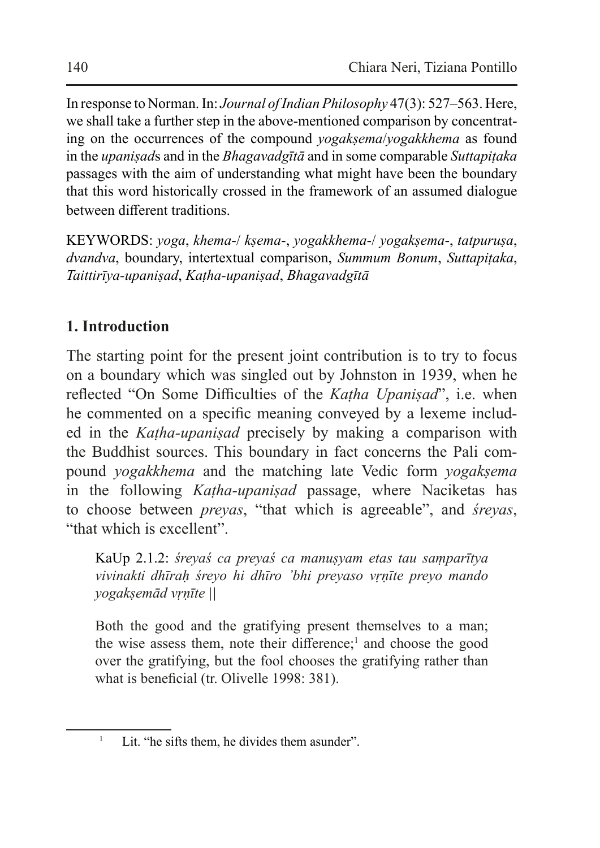In response to Norman. In: *Journal ofIndian Philosophy* 47(3): 527–563. Here, we shall take a further step in the above-mentioned comparison by concentrating on the occurrences of the compound *yogakṣema*/*yogakkhema* as found in the *upaniṣad*s and in the *Bhagavadgītā* and in some comparable *Suttapiṭaka*  passages with the aim of understanding what might have been the boundary that this word historically crossed in the framework of an assumed dialogue between different traditions.

KEYWORDS: *yoga*, *khema*-/ *kṣema*-, *yogakkhema*-/ *yogakṣema*-, *tatpuruṣa*, *dvandva*, boundary, intertextual comparison, *Summum Bonum*, *Suttapiṭaka*, *Taittirīya-upaniṣad*, *Kaṭha-upaniṣad*, *Bhagavadgītā*

### **1. Introduction**

The starting point for the present joint contribution is to try to focus on a boundary which was singled out by Johnston in 1939, when he reflected "On Some Difficulties of the *Kaṭha Upaniṣad*", i.e. when he commented on a specific meaning conveyed by a lexeme included in the *Kaṭha-upaniṣad* precisely by making a comparison with the Buddhist sources. This boundary in fact concerns the Pali compound *yogakkhema* and the matching late Vedic form *yogakṣema* in the following *Kaṭha-upaniṣad* passage, where Naciketas has to choose between *preyas*, "that which is agreeable", and *śreyas*, "that which is excellent".

KaUp 2.1.2: *śreyaś ca preyaś ca manuṣyam etas tau saṃparītya vivinakti dhīraḥ śreyo hi dhīro 'bhi preyaso vṛṇīte preyo mando yogakṣemād vṛṇīte ||*

Both the good and the gratifying present themselves to a man; the wise assess them, note their difference;<sup>1</sup> and choose the good over the gratifying, but the fool chooses the gratifying rather than what is beneficial (tr. Olivelle 1998: 381).

<sup>&</sup>lt;sup>1</sup> Lit. "he sifts them, he divides them asunder".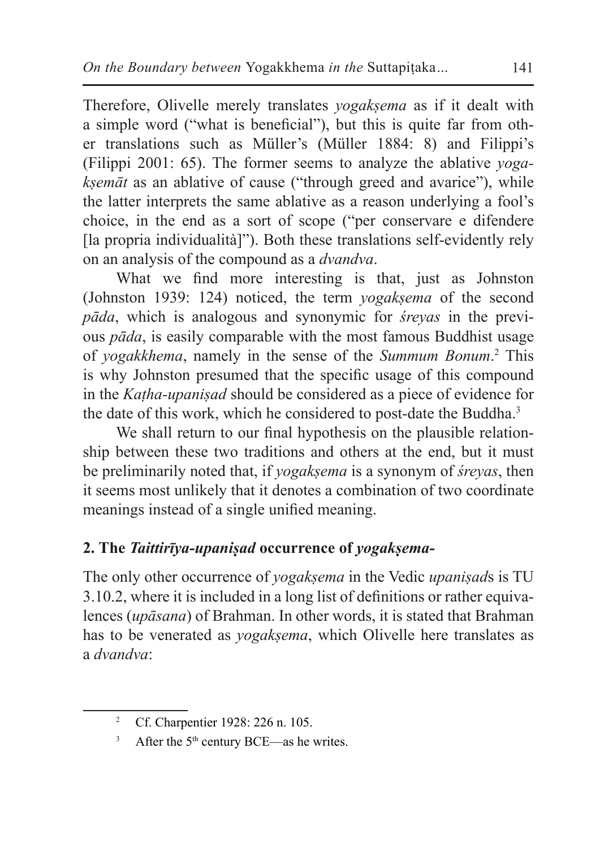Therefore, Olivelle merely translates *yogakṣema* as if it dealt with a simple word ("what is beneficial"), but this is quite far from other translations such as Müller's (Müller 1884: 8) and Filippi's (Filippi 2001: 65). The former seems to analyze the ablative *yogakṣemāt* as an ablative of cause ("through greed and avarice"), while the latter interprets the same ablative as a reason underlying a fool's choice, in the end as a sort of scope ("per conservare e difendere [la propria individualità]"). Both these translations self-evidently rely on an analysis of the compound as a *dvandva*.

What we find more interesting is that, just as Johnston (Johnston 1939: 124) noticed, the term *yogaksema* of the second *pāda*, which is analogous and synonymic for *śreyas* in the previous *pāda*, is easily comparable with the most famous Buddhist usage of *yogakkhema*, namely in the sense of the *Summum Bonum*. 2 This is why Johnston presumed that the specific usage of this compound in the *Kaṭha-upaniṣad* should be considered as a piece of evidence for the date of this work, which he considered to post-date the Buddha.<sup>3</sup>

We shall return to our final hypothesis on the plausible relationship between these two traditions and others at the end, but it must be preliminarily noted that, if *yogakṣema* is a synonym of *śreyas*, then it seems most unlikely that it denotes a combination of two coordinate meanings instead of a single unified meaning.

### **2. The** *Taittirīya-upaniṣad* **occurrence of** *yogakṣema-*

The only other occurrence of *yogakṣema* in the Vedic *upaniṣad*s is TU 3.10.2, where it is included in a long list of definitions or rather equivalences (*upāsana*) of Brahman. In other words, it is stated that Brahman has to be venerated as *yogakṣema*, which Olivelle here translates as a *dvandva*:

<sup>&</sup>lt;sup>2</sup> Cf. Charpentier 1928: 226 n. 105.

 $3$  After the 5<sup>th</sup> century BCE—as he writes.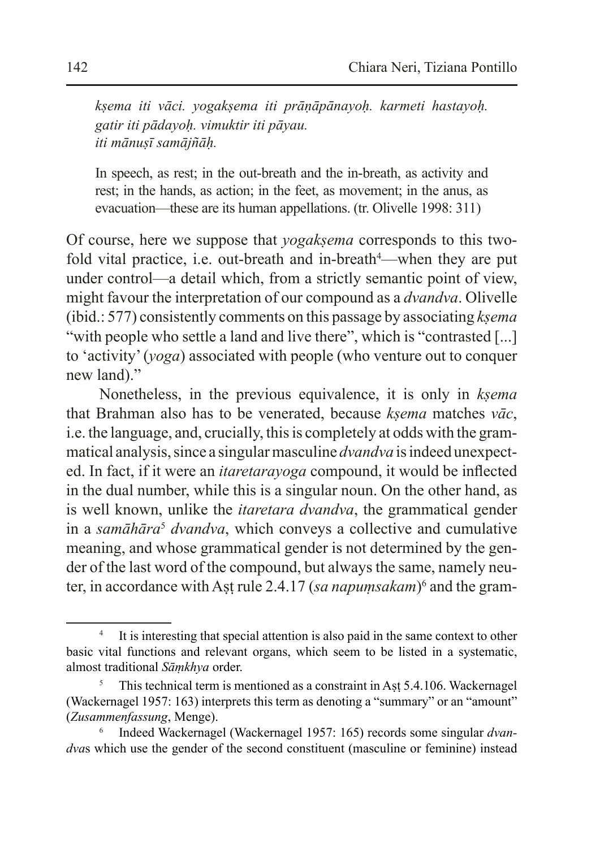*kṣema iti vāci. yogakṣema iti prāṇāpānayoḥ. karmeti hastayoḥ. gatir iti pādayoḥ. vimuktir iti pāyau. iti mānuṣī samājñāḥ.*

In speech, as rest; in the out-breath and the in-breath, as activity and rest; in the hands, as action; in the feet, as movement; in the anus, as evacuation—these are its human appellations. (tr. Olivelle 1998: 311)

Of course, here we suppose that *yogakṣema* corresponds to this twofold vital practice, i.e. out-breath and in-breath<sup>4</sup>—when they are put under control—a detail which, from a strictly semantic point of view, might favour the interpretation of our compound as a *dvandva*. Olivelle (ibid.: 577) consistently comments on this passage by associating *kṣema*  "with people who settle a land and live there", which is "contrasted [...] to 'activity' (*yoga*) associated with people (who venture out to conquer new land)."

Nonetheless, in the previous equivalence, it is only in *kṣema*  that Brahman also has to be venerated, because *kṣema* matches *vāc*, i.e. the language, and, crucially, this is completely at odds with the grammatical analysis, since a singular masculine *dvandva* isindeed unexpected. In fact, if it were an *itaretarayoga* compound, it would be inflected in the dual number, while this is a singular noun. On the other hand, as is well known, unlike the *itaretara dvandva*, the grammatical gender in a *samāhāra<sup>5</sup> dvandva*, which conveys a collective and cumulative meaning, and whose grammatical gender is not determined by the gender of the last word of the compound, but always the same, namely neuter, in accordance with Aṣṭ rule 2.4.17 (*sa napuṃsakam*)<sup>6</sup> and the gram-

It is interesting that special attention is also paid in the same context to other basic vital functions and relevant organs, which seem to be listed in a systematic, almost traditional *Sāṃkhya* order.

This technical term is mentioned as a constraint in Ast 5.4.106. Wackernagel (Wackernagel 1957: 163) interprets this term as denoting a "summary" or an "amount" (*Zusammenfassung*, Menge).

<sup>6</sup> Indeed Wackernagel (Wackernagel 1957: 165) records some singular *dvandva*s which use the gender of the second constituent (masculine or feminine) instead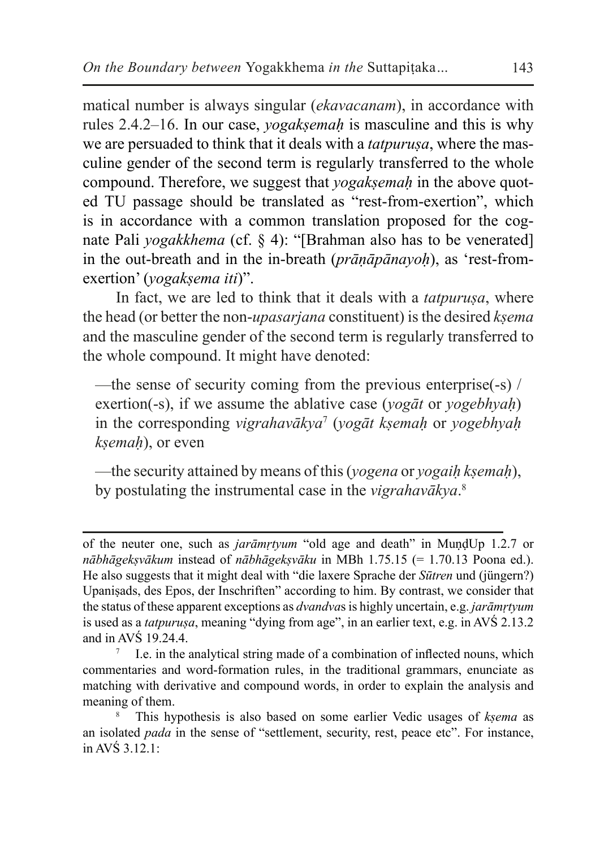matical number is always singular (*ekavacanam*), in accordance with rules 2.4.2–16. In our case, *yogakṣemaḥ* is masculine and this is why we are persuaded to think that it deals with a *tatpurusa*, where the masculine gender of the second term is regularly transferred to the whole compound. Therefore, we suggest that *yogakṣemaḥ* in the above quoted TU passage should be translated as "rest-from-exertion", which is in accordance with a common translation proposed for the cognate Pali *yogakkhema* (cf. § 4): "[Brahman also has to be venerated] in the out-breath and in the in-breath (*prāṇāpānayoḥ*), as 'rest-fromexertion' (*yogakṣema iti*)".

In fact, we are led to think that it deals with a *tatpurusa*, where the head (or better the non-*upasarjana* constituent) isthe desired *kṣema*  and the masculine gender of the second term is regularly transferred to the whole compound. It might have denoted:

—the sense of security coming from the previous enterprise(-s) / exertion(-s), if we assume the ablative case (*yogāt* or *yogebhyaḥ*) in the corresponding *vigrahavākya*<sup>7</sup> (*yogāt kṣemaḥ* or *yogebhyaḥ kṣemaḥ*), or even

—the security attained by means of this (*yogena* or *yogaiḥ kṣemaḥ*), by postulating the instrumental case in the *vigrahavākya*. 8

of the neuter one, such as *jarāmṛtyum* "old age and death" in MuṇḍUp 1.2.7 or *nābhāgekṣvākum* instead of *nābhāgekṣvāku* in MBh 1.75.15 (= 1.70.13 Poona ed.). He also suggests that it might deal with "die laxere Sprache der *Sūtren* und (jüngern?) Upaniṣads, des Epos, der Inschriften" according to him. By contrast, we consider that the status of these apparent exceptions as *dvandva*s is highly uncertain, e.g. *jarāmṛtyum*  is used as a *tatpuruṣa*, meaning "dying from age", in an earlier text, e.g. in AVŚ 2.13.2 and in AVŚ 19.24.4.

I.e. in the analytical string made of a combination of inflected nouns, which commentaries and word-formation rules, in the traditional grammars, enunciate as matching with derivative and compound words, in order to explain the analysis and meaning of them.

<sup>8</sup> This hypothesis is also based on some earlier Vedic usages of *kṣema* as an isolated *pada* in the sense of "settlement, security, rest, peace etc". For instance, in AVS  $3.12.1$ :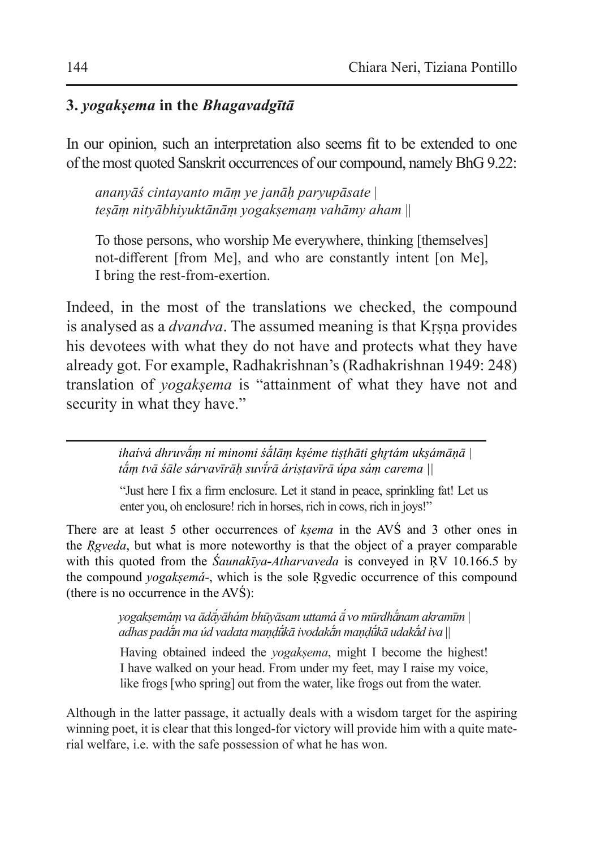# **3.** *yogakṣema* **in the** *Bhagavadgītā*

In our opinion, such an interpretation also seems fit to be extended to one of the most quoted Sanskrit occurrences of our compound, namely BhG 9.22:

*ananyāś cintayanto māṃ ye janāḥ paryupāsate* | *teṣāṃ nityābhiyuktānāṃ yogakṣemaṃ vahāmy aham* ||

To those persons, who worship Me everywhere, thinking [themselves] not-different [from Me], and who are constantly intent [on Me], I bring the rest-from-exertion.

Indeed, in the most of the translations we checked, the compound is analysed as a *dvandva*. The assumed meaning is that Krsna provides his devotees with what they do not have and protects what they have already got. For example, Radhakrishnan's (Radhakrishnan 1949: 248) translation of *yogaksema* is "attainment of what they have not and security in what they have."

> *ihaívá dhruvā́ṃ ní minomi śā́lāṃ kṣéme tiṣṭhāti ghr̥tám ukṣámāṇā | tā́ṃ tvā śāle sárvavīrāḥ suvī́ rā áriṣṭavīrā úpa sáṃ carema ||*

"Just here I fix a firm enclosure. Let it stand in peace, sprinkling fat! Let us enter you, oh enclosure! rich in horses, rich in cows, rich in joys!"

There are at least 5 other occurrences of *kṣema* in the AVŚ and 3 other ones in the *Ṛgveda*, but what is more noteworthy is that the object of a prayer comparable with this quoted from the *Śaunakīya-Atharvaveda* is conveyed in ṚV 10.166.5 by the compound *yogakṣemá*-, which is the sole Ṛgvedic occurrence of this compound (there is no occurrence in the AVŚ):

> *yogakṣemáṃ va ādā́yāhám bhūyāsam uttamá ā́ vo mūrdhā́nam akramīm | adhas padā́n ma úd vadata maṇḍū́kā ivodakā́n maṇḍū́kā udakā́d iva* ||

Having obtained indeed the *yogakṣema*, might I become the highest! I have walked on your head. From under my feet, may I raise my voice, like frogs [who spring] out from the water, like frogs out from the water.

Although in the latter passage, it actually deals with a wisdom target for the aspiring winning poet, it is clear that this longed-for victory will provide him with a quite material welfare, i.e. with the safe possession of what he has won.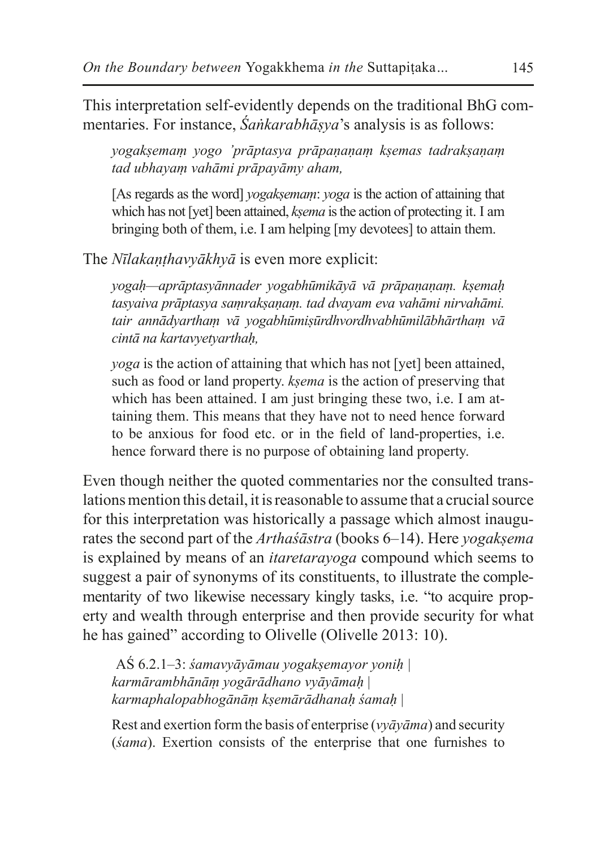This interpretation self-evidently depends on the traditional BhG commentaries. For instance, *Śaṅkarabhāṣya*'s analysis is as follows:

*yogakṣemaṃ yogo 'prāptasya prāpaṇaṇaṃ kṣemas tadrakṣaṇaṃ tad ubhayaṃ vahāmi prāpayāmy aham,*

[As regards as the word] *yogakṣemaṃ*: *yoga* is the action of attaining that which has not [yet] been attained, *ksema* is the action of protecting it. I am bringing both of them, i.e. I am helping [my devotees] to attain them.

The *Nīlakaṇṭhavyākhyā* is even more explicit:

*yogaḥ—aprāptasyānnader yogabhūmikāyā vā prāpaṇaṇaṃ. kṣemaḥ tasyaiva prāptasya saṃrakṣaṇaṃ. tad dvayam eva vahāmi nirvahāmi. tair annādyarthaṃ vā yogabhūmiṣūrdhvordhvabhūmilābhārthaṃ vā cintā na kartavyetyarthaḥ,*

*yoga* is the action of attaining that which has not [yet] been attained, such as food or land property. *kṣema* is the action of preserving that which has been attained. I am just bringing these two, i.e. I am attaining them. This means that they have not to need hence forward to be anxious for food etc. or in the field of land-properties, i.e. hence forward there is no purpose of obtaining land property.

Even though neither the quoted commentaries nor the consulted translations mention this detail, it isreasonable to assume that a crucial source for this interpretation was historically a passage which almost inaugurates the second part of the *Arthaśāstra* (books 6–14). Here *yogaksema* is explained by means of an *itaretarayoga* compound which seems to suggest a pair of synonyms of its constituents, to illustrate the complementarity of two likewise necessary kingly tasks, i.e. "to acquire property and wealth through enterprise and then provide security for what he has gained" according to Olivelle (Olivelle 2013: 10).

AŚ 6.2.1–3: *śamavyāyāmau yogakṣemayor yoniḥ | karmārambhānāṃ yogārādhano vyāyāmaḥ* | *karmaphalopabhogānāṃ kṣemārādhanaḥ śamaḥ* |

Rest and exertion form the basis of enterprise (*vyāyāma*) and security (*śama*). Exertion consists of the enterprise that one furnishes to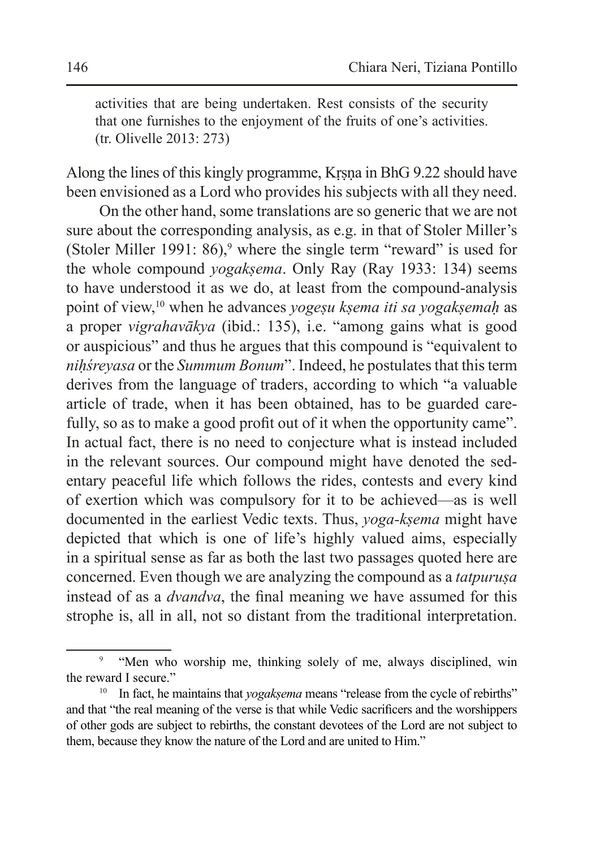activities that are being undertaken. Rest consists of the security that one furnishes to the enjoyment of the fruits of one's activities. (tr. Olivelle 2013: 273)

Along the lines of this kingly programme, Kṛṣṇa in BhG 9.22 should have been envisioned as a Lord who provides his subjects with all they need.

On the other hand, some translations are so generic that we are not sure about the corresponding analysis, as e.g. in that of Stoler Miller's (Stoler Miller 1991:  $86$ ),<sup>9</sup> where the single term "reward" is used for the whole compound *yogaksema*. Only Ray (Ray 1933: 134) seems to have understood it as we do, at least from the compound-analysis point of view,<sup>10</sup> when he advances *yogeṣu kṣema iti sa yogakṣemaḥ* as a proper *vigrahavākya* (ibid.: 135), i.e. "among gains what is good or auspicious" and thus he argues that this compound is "equivalent to *niḥśreyasa* or the *Summum Bonum*". Indeed, he postulates that this term derives from the language of traders, according to which "a valuable article of trade, when it has been obtained, has to be guarded carefully, so as to make a good profit out of it when the opportunity came". In actual fact, there is no need to conjecture what is instead included in the relevant sources. Our compound might have denoted the sedentary peaceful life which follows the rides, contests and every kind of exertion which was compulsory for it to be achieved—as is well documented in the earliest Vedic texts. Thus, *yoga-kṣema* might have depicted that which is one of life's highly valued aims, especially in a spiritual sense as far as both the last two passages quoted here are concerned. Even though we are analyzing the compound as a *tatpuruṣa*  instead of as a *dvandva*, the final meaning we have assumed for this strophe is, all in all, not so distant from the traditional interpretation.

<sup>&</sup>lt;sup>9</sup> "Men who worship me, thinking solely of me, always disciplined, win the reward I secure."

<sup>&</sup>lt;sup>10</sup> In fact, he maintains that *yogakṣema* means "release from the cycle of rebirths" and that "the real meaning of the verse is that while Vedic sacrificers and the worshippers of other gods are subject to rebirths, the constant devotees of the Lord are not subject to them, because they know the nature of the Lord and are united to Him."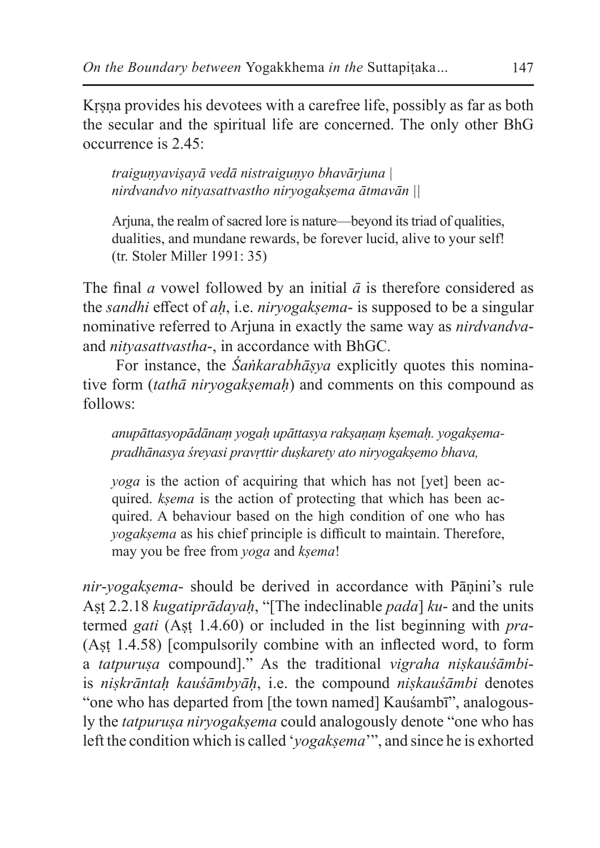Krsna provides his devotees with a carefree life, possibly as far as both the secular and the spiritual life are concerned. The only other BhG occurrence is 2.45:

*traiguṇyaviṣayā vedā nistraiguṇyo bhavārjuna | nirdvandvo nityasattvastho niryogakṣema ātmavān ||*

Ariuna, the realm of sacred lore is nature—beyond its triad of qualities, dualities, and mundane rewards, be forever lucid, alive to your self! (tr. Stoler Miller 1991: 35)

The final *a* vowel followed by an initial  $\bar{a}$  is therefore considered as the *sandhi* effect of *aḥ*, i.e. *niryogakṣema*- is supposed to be a singular nominative referred to Arjuna in exactly the same way as *nirdvandva*and *nityasattvastha*-, in accordance with BhGC.

For instance, the *Śaṅkarabhāṣya* explicitly quotes this nominative form (*tathā niryogakṣemah*) and comments on this compound as follows:

*anupāttasyopādānaṃ yogaḥ upāttasya rakṣaṇaṃ kṣemaḥ. yogakṣemapradhānasya śreyasi pravṛttir duṣkarety ato niryogakṣemo bhava,*

*yoga* is the action of acquiring that which has not [yet] been acquired. *kṣema* is the action of protecting that which has been acquired. A behaviour based on the high condition of one who has *yogakṣema* as his chief principle is difficult to maintain. Therefore, may you be free from *yoga* and *kṣema*!

*nir*-*yogakṣema*- should be derived in accordance with Pāṇini's rule Aṣṭ 2.2.18 *kugatiprādayaḥ*, "[The indeclinable *pada*] *ku*- and the units termed *gati* (Aṣṭ 1.4.60) or included in the list beginning with *pra*- (Aṣṭ 1.4.58) [compulsorily combine with an inflected word, to form a *tatpuruṣa* compound]." As the traditional *vigraha niṣkauśāmbi*is *niṣkrāntaḥ kauśāmbyāḥ*, i.e. the compound *niṣkauśāmbi* denotes "one who has departed from [the town named] Kauśambī", analogously the *tatpurusa niryogaksema* could analogously denote "one who has left the condition which is called '*yogakṣema*'", and since he is exhorted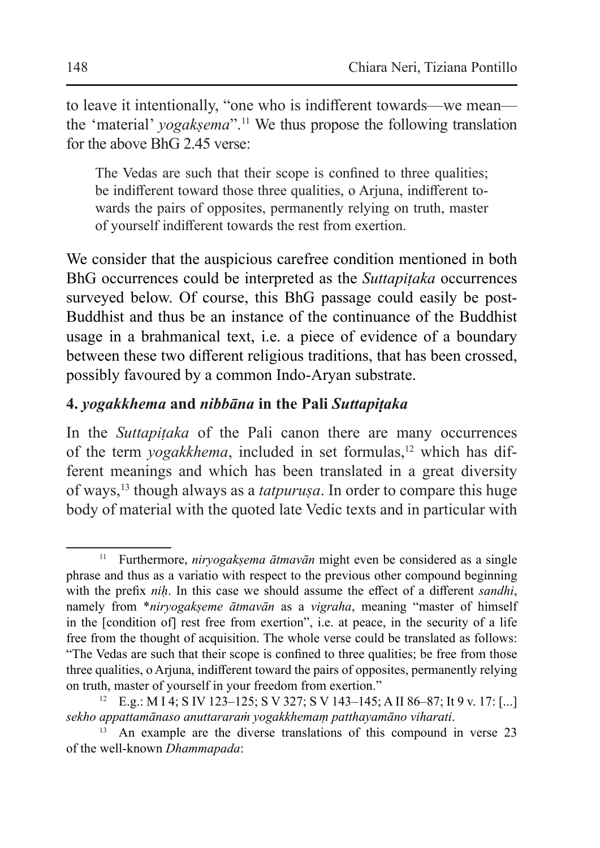to leave it intentionally, "one who is indifferent towards—we mean the 'material' *yogaksema*".<sup>11</sup> We thus propose the following translation for the above BhG 2.45 verse:

The Vedas are such that their scope is confined to three qualities; be indifferent toward those three qualities, o Arjuna, indifferent towards the pairs of opposites, permanently relying on truth, master of yourself indifferent towards the rest from exertion.

We consider that the auspicious carefree condition mentioned in both BhG occurrences could be interpreted as the *Suttapiṭaka* occurrences surveyed below. Of course, this BhG passage could easily be post-Buddhist and thus be an instance of the continuance of the Buddhist usage in a brahmanical text, i.e. a piece of evidence of a boundary between these two different religious traditions, that has been crossed, possibly favoured by a common Indo-Aryan substrate.

### **4.** *yogakkhema* **and** *nibbāna* **in the Pali** *Suttapiṭaka*

In the *Suttapitaka* of the Pali canon there are many occurrences of the term *yogakkhema*, included in set formulas,<sup>12</sup> which has different meanings and which has been translated in a great diversity of ways,<sup>13</sup> though always as a *tatpuruṣa*. In order to compare this huge body of material with the quoted late Vedic texts and in particular with

<sup>&</sup>lt;sup>11</sup> Furthermore, *niryogakṣema ātmavān* might even be considered as a single phrase and thus as a variatio with respect to the previous other compound beginning with the prefix *niḥ*. In this case we should assume the effect of a different *sandhi*, namely from \**niryogakṣeme ātmavān* as a *vigraha*, meaning "master of himself in the [condition of] rest free from exertion", i.e. at peace, in the security of a life free from the thought of acquisition. The whole verse could be translated as follows: "The Vedas are such that their scope is confined to three qualities; be free from those three qualities, o Arjuna, indifferent toward the pairs of opposites, permanently relying on truth, master of yourself in your freedom from exertion."

<sup>12</sup> E.g.: M I 4; S IV 123–125; S V 327; S V 143–145; A II 86–87; It 9 v. 17: [...] *sekho appattamānaso anuttararaṁ yogakkhemaṃ patthayamāno viharati*.

An example are the diverse translations of this compound in verse 23 of the well-known *Dhammapada*: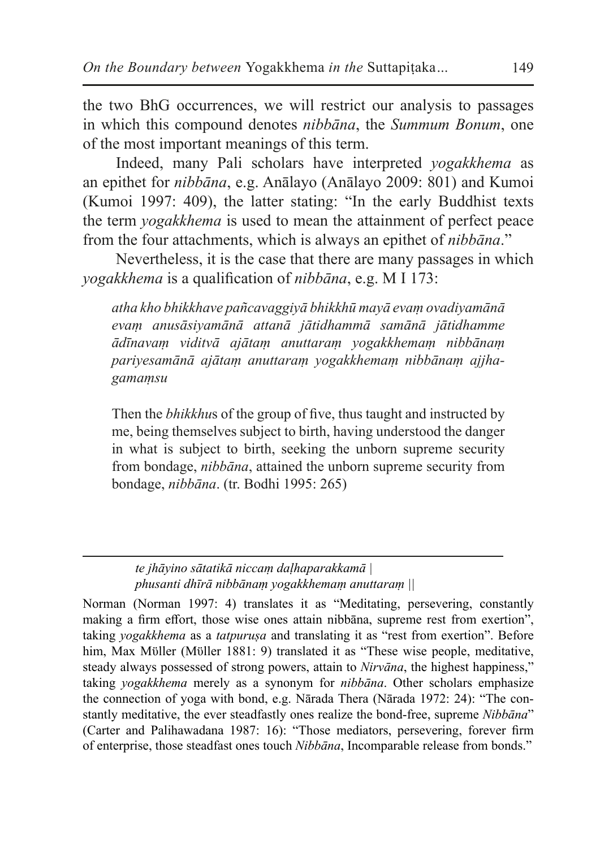the two BhG occurrences, we will restrict our analysis to passages in which this compound denotes *nibbāna*, the *Summum Bonum*, one of the most important meanings of this term.

Indeed, many Pali scholars have interpreted *yogakkhema* as an epithet for *nibbāna*, e.g. Anālayo (Anālayo 2009: 801) and Kumoi (Kumoi 1997: 409), the latter stating: "In the early Buddhist texts the term *yogakkhema* is used to mean the attainment of perfect peace from the four attachments, which is always an epithet of *nibbāna*."

Nevertheless, it is the case that there are many passages in which *yogakkhema* is a qualification of *nibbāna*, e.g. M I 173:

*atha kho bhikkhave pañcavaggiyā bhikkhū mayā evaṃ ovadiyamānā evaṃ anusāsiyamānā attanā jātidhammā samānā jātidhamme ādīnavaṃ viditvā ajātaṃ anuttaraṃ yogakkhemaṃ nibbānaṃ pariyesamānā ajātaṃ anuttaraṃ yogakkhemaṃ nibbānaṃ ajjhagamaṃsu*

Then the *bhikkhu*s of the group of five, thus taught and instructed by me, being themselves subject to birth, having understood the danger in what is subject to birth, seeking the unborn supreme security from bondage, *nibbāna*, attained the unborn supreme security from bondage, *nibbāna*. (tr. Bodhi 1995: 265)

*te jhāyino sātatikā niccaṃ daḷhaparakkamā | phusanti dhīrā nibbānaṃ yogakkhemaṃ anuttaraṃ ||*

Norman (Norman 1997: 4) translates it as "Meditating, persevering, constantly making a firm effort, those wise ones attain nibbāna, supreme rest from exertion", taking *yogakkhema* as a *tatpuruṣa* and translating it as "rest from exertion". Before him, Max Müller (Müller 1881: 9) translated it as "These wise people, meditative, steady always possessed of strong powers, attain to *Nirvāna*, the highest happiness," taking *yogakkhema* merely as a synonym for *nibbāna*. Other scholars emphasize the connection of yoga with bond, e.g. Nārada Thera (Nārada 1972: 24): "The constantly meditative, the ever steadfastly ones realize the bond-free, supreme *Nibbāna*" (Carter and Palihawadana 1987: 16): "Those mediators, persevering, forever firm of enterprise, those steadfast ones touch *Nibbāna*, Incomparable release from bonds."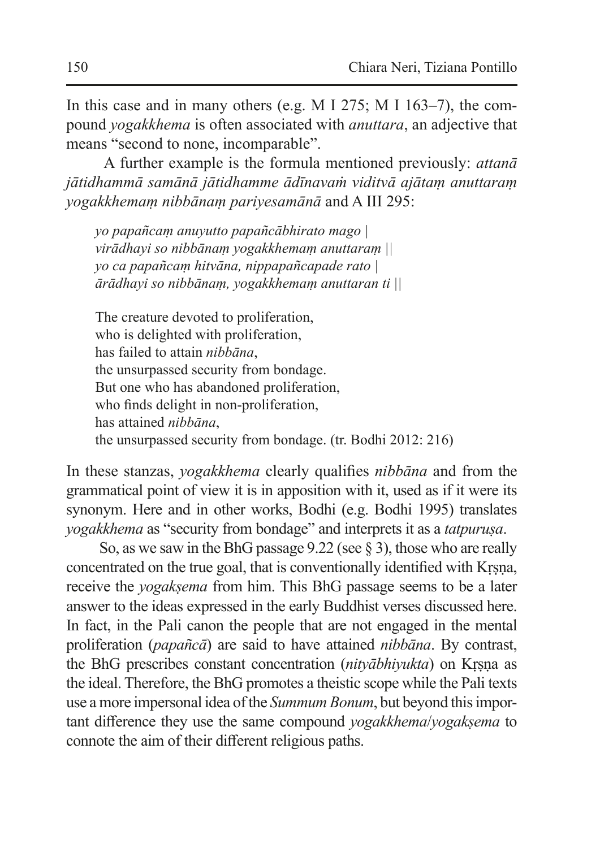In this case and in many others (e.g. M I 275; M I 163–7), the compound *yogakkhema* is often associated with *anuttara*, an adjective that means "second to none, incomparable".

 A further example is the formula mentioned previously: *attanā jātidhammā samānā jātidhamme ādīnavaṁ viditvā ajātaṃ anuttaraṃ yogakkhemaṃ nibbānaṃ pariyesamānā* and A III 295:

*yo papañcaṃ anuyutto papañcābhirato mago | virādhayi so nibbānaṃ yogakkhemaṃ anuttaraṃ || yo ca papañcaṃ hitvāna, nippapañcapade rato | ārādhayi so nibbānaṃ, yogakkhemaṃ anuttaran ti ||*

The creature devoted to proliferation, who is delighted with proliferation, has failed to attain *nibbāna*, the unsurpassed security from bondage. But one who has abandoned proliferation, who finds delight in non-proliferation, has attained *nibbāna*, the unsurpassed security from bondage. (tr. Bodhi 2012: 216)

In these stanzas, *yogakkhema* clearly qualifies *nibbāna* and from the grammatical point of view it is in apposition with it, used as if it were its synonym. Here and in other works, Bodhi (e.g. Bodhi 1995) translates *yogakkhema* as "security from bondage" and interprets it as a *tatpuruṣa*.

So, as we saw in the BhG passage 9.22 (see § 3), those who are really concentrated on the true goal, that is conventionally identified with Kṛṣṇa, receive the *yogakṣema* from him. This BhG passage seems to be a later answer to the ideas expressed in the early Buddhist verses discussed here. In fact, in the Pali canon the people that are not engaged in the mental proliferation (*papañcā*) are said to have attained *nibbāna*. By contrast, the BhG prescribes constant concentration (*nityābhiyukta*) on Kṛṣṇa as the ideal. Therefore, the BhG promotes a theistic scope while the Pali texts use a more impersonal idea ofthe *Summum Bonum*, but beyond this important difference they use the same compound *yogakkhema*/*yogakṣema* to connote the aim of their different religious paths.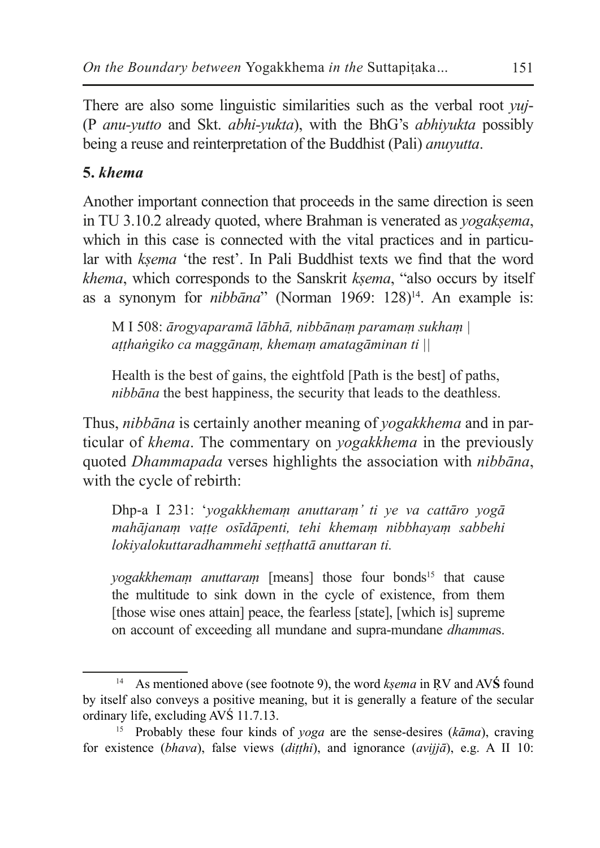There are also some linguistic similarities such as the verbal root *yuj*- (P *anu-yutto* and Skt. *abhi-yukta*), with the BhG's *abhiyukta* possibly being a reuse and reinterpretation of the Buddhist (Pali) *anuyutta*.

# **5.** *khema*

Another important connection that proceeds in the same direction is seen in TU 3.10.2 already quoted, where Brahman is venerated as *yogaksema*, which in this case is connected with the vital practices and in particular with *kṣema* 'the rest'. In Pali Buddhist texts we find that the word *khema*, which corresponds to the Sanskrit *kṣema*, "also occurs by itself as a synonym for *nibbāna*" (Norman 1969: 128)<sup>14</sup>. An example is:

M I 508: *ārogyaparamā lābhā, nibbānaṃ paramaṃ sukhaṃ | aṭṭhaṅgiko ca maggānaṃ, khemaṃ amatagāminan ti ||*

Health is the best of gains, the eightfold [Path is the best] of paths, *nibbāna* the best happiness, the security that leads to the deathless.

Thus, *nibbāna* is certainly another meaning of *yogakkhema* and in particular of *khema*. The commentary on *yogakkhema* in the previously quoted *Dhammapada* verses highlights the association with *nibbāna*, with the cycle of rebirth:

Dhp-a I 231: '*yogakkhemaṃ anuttaraṃ' ti ye va cattāro yogā mahājanaṃ vaṭṭe osīdāpenti, tehi khemaṃ nibbhayaṃ sabbehi lokiyalokuttaradhammehi seṭṭhattā anuttaran ti.* 

*yogakkhemam anuttaram* [means] those four bonds<sup>15</sup> that cause the multitude to sink down in the cycle of existence, from them [those wise ones attain] peace, the fearless [state], [which is] supreme on account of exceeding all mundane and supra-mundane *dhamma*s.

<sup>14</sup> As mentioned above (see footnote 9), the word *kṣema* in ṚV and AV**Ś** found by itself also conveys a positive meaning, but it is generally a feature of the secular ordinary life, excluding AVŚ 11.7.13.

<sup>15</sup> Probably these four kinds of *yoga* are the sense-desires (*kāma*), craving for existence (*bhava*), false views (*diṭṭhi*), and ignorance (*avijjā*), e.g. A II 10: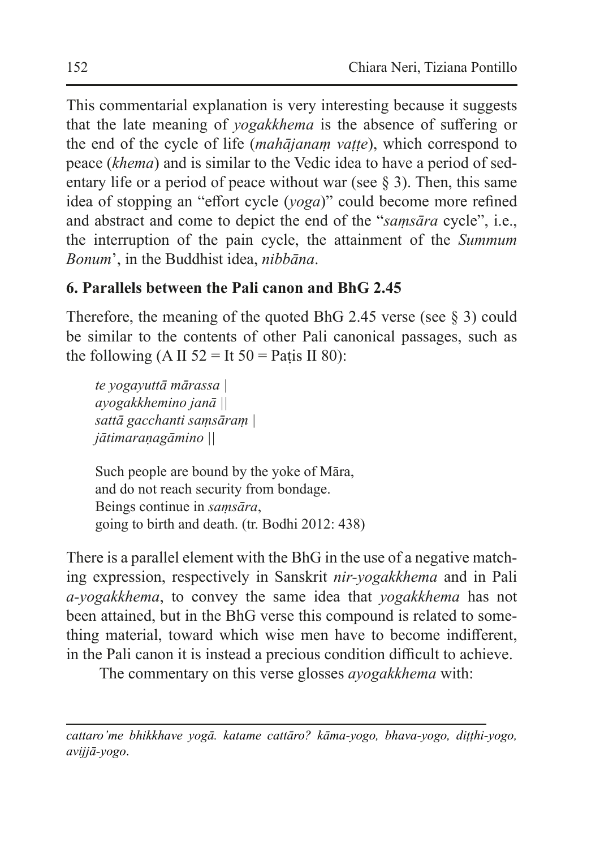This commentarial explanation is very interesting because it suggests that the late meaning of *yogakkhema* is the absence of suffering or the end of the cycle of life (*mahājanaṃ vaṭṭe*), which correspond to peace (*khema*) and is similar to the Vedic idea to have a period of sedentary life or a period of peace without war (see  $\S$  3). Then, this same idea of stopping an "effort cycle (*yoga*)" could become more refined and abstract and come to depict the end of the "*saṃsāra* cycle", i.e., the interruption of the pain cycle, the attainment of the *Summum Bonum*', in the Buddhist idea, *nibbāna*.

# **6. Parallels between the Pali canon and BhG 2.45**

Therefore, the meaning of the quoted BhG 2.45 verse (see  $\S$  3) could be similar to the contents of other Pali canonical passages, such as the following (A II  $52 =$  It  $50 =$  Patis II 80):

*te yogayuttā mārassa | ayogakkhemino janā || sattā gacchanti saṃsāraṃ | jātimaraṇagāmino ||*

Such people are bound by the yoke of Māra, and do not reach security from bondage. Beings continue in *saṃsāra*, going to birth and death. (tr. Bodhi 2012: 438)

There is a parallel element with the BhG in the use of a negative matching expression, respectively in Sanskrit *nir-yogakkhema* and in Pali *a-yogakkhema*, to convey the same idea that *yogakkhema* has not been attained, but in the BhG verse this compound is related to something material, toward which wise men have to become indifferent, in the Pali canon it is instead a precious condition difficult to achieve.

The commentary on this verse glosses *ayogakkhema* with:

*cattaro'me bhikkhave yogā. katame cattāro? kāma-yogo, bhava-yogo, diṭṭhi-yogo, avijjā-yogo*.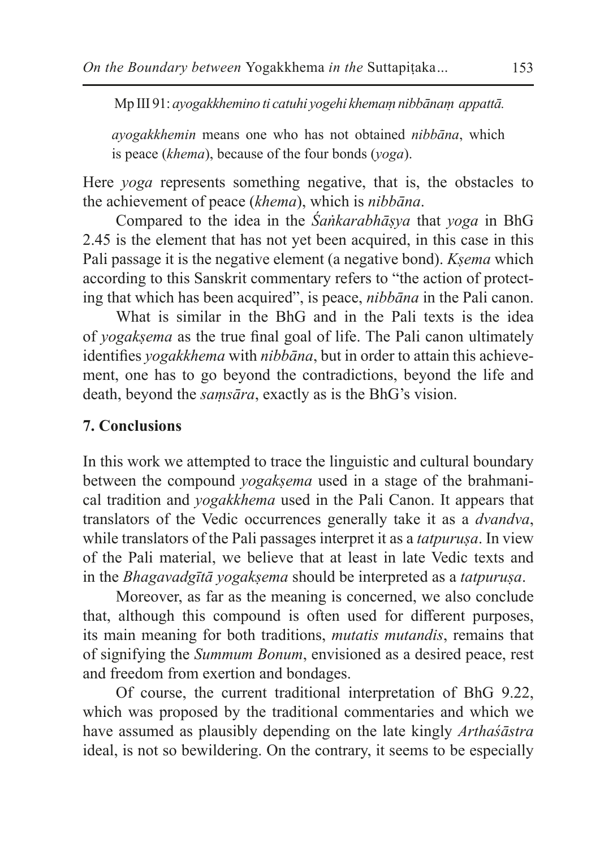Mp III 91: *ayogakkhemino ti catuhi yogehi khemaṃ nibbānaṃ appattā.*

*ayogakkhemin* means one who has not obtained *nibbāna*, which is peace (*khema*), because of the four bonds (*yoga*).

Here *yoga* represents something negative, that is, the obstacles to the achievement of peace (*khema*), which is *nibbāna*.

Compared to the idea in the *Śaṅkarabhāṣya* that *yoga* in BhG 2.45 is the element that has not yet been acquired, in this case in this Pali passage it is the negative element (a negative bond). *Kṣema* which according to this Sanskrit commentary refers to "the action of protecting that which has been acquired", is peace, *nibbāna* in the Pali canon.

What is similar in the BhG and in the Pali texts is the idea of *yogakṣema* as the true final goal of life. The Pali canon ultimately identifies *yogakkhema* with *nibbāna*, but in order to attain this achievement, one has to go beyond the contradictions, beyond the life and death, beyond the *saṃsāra*, exactly as is the BhG's vision.

#### **7. Conclusions**

In this work we attempted to trace the linguistic and cultural boundary between the compound *yogaksema* used in a stage of the brahmanical tradition and *yogakkhema* used in the Pali Canon. It appears that translators of the Vedic occurrences generally take it as a *dvandva*, while translators of the Pali passages interpret it as a *tatpurusa*. In view of the Pali material, we believe that at least in late Vedic texts and in the *Bhagavadgītā yogakṣema* should be interpreted as a *tatpuruṣa*.

Moreover, as far as the meaning is concerned, we also conclude that, although this compound is often used for different purposes, its main meaning for both traditions, *mutatis mutandis*, remains that of signifying the *Summum Bonum*, envisioned as a desired peace, rest and freedom from exertion and bondages.

Of course, the current traditional interpretation of BhG 9.22, which was proposed by the traditional commentaries and which we have assumed as plausibly depending on the late kingly *Arthaśāstra* ideal, is not so bewildering. On the contrary, it seems to be especially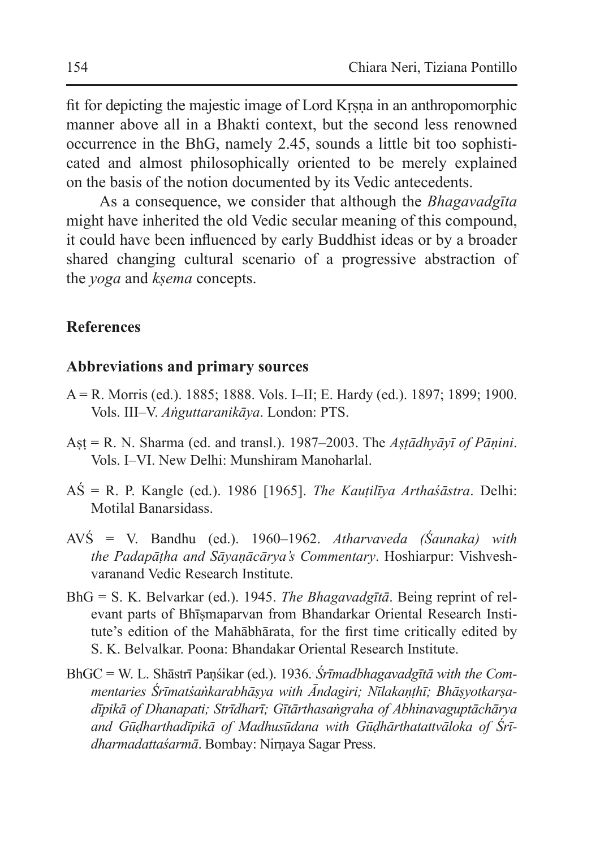fit for depicting the majestic image of Lord Kṛṣṇa in an anthropomorphic manner above all in a Bhakti context, but the second less renowned occurrence in the BhG, namely 2.45, sounds a little bit too sophisticated and almost philosophically oriented to be merely explained on the basis of the notion documented by its Vedic antecedents.

As a consequence, we consider that although the *Bhagavadgīta*  might have inherited the old Vedic secular meaning of this compound, it could have been influenced by early Buddhist ideas or by a broader shared changing cultural scenario of a progressive abstraction of the *yoga* and *kṣema* concepts.

#### **References**

#### **Abbreviations and primary sources**

- A = R. Morris (ed.). 1885; 1888. Vols. I–II; E. Hardy (ed.). 1897; 1899; 1900. Vols. III–V. *Aṅguttaranikāya*. London: PTS.
- Aṣṭ = R. N. Sharma (ed. and transl.). 1987–2003. The *Aṣṭādhyāyī of Pāṇini*. Vols. I–VI. New Delhi: Munshiram Manoharlal.
- AŚ = R. P. Kangle (ed.). 1986 [1965]. *The Kauṭilīya Arthaśāstra*. Delhi: Motilal Banarsidass.
- AVŚ = V. Bandhu (ed.). 1960–1962. *Atharvaveda (Śaunaka) with the Padapāṭha and Sāyaṇācārya's Commentary*. Hoshiarpur: Vishveshvaranand Vedic Research Institute.
- BhG = S. K. Belvarkar (ed.). 1945. *The Bhagavadgītā*. Being reprint of relevant parts of Bhīṣmaparvan from Bhandarkar Oriental Research Institute's edition of the Mahābhārata, for the first time critically edited by S. K. Belvalkar. Poona: Bhandakar Oriental Research Institute.
- BhGC = W. L. Shāstrī Paṇśikar (ed.). 1936.. *Śrīmadbhagavadgītā with the Commentaries Śrīmatśaṅkarabhāṣya with Āndagiri; Nīlakaṇṭhī; Bhāṣyotkarṣadīpikā of Dhanapati; Strīdharī; Gītārthasaṅgraha of Abhinavaguptāchārya and Gūḍharthadīpikā of Madhusūdana with Gūḍhārthatattvāloka of Śrīdharmadattaśarmā*. Bombay: Nirṇaya Sagar Press.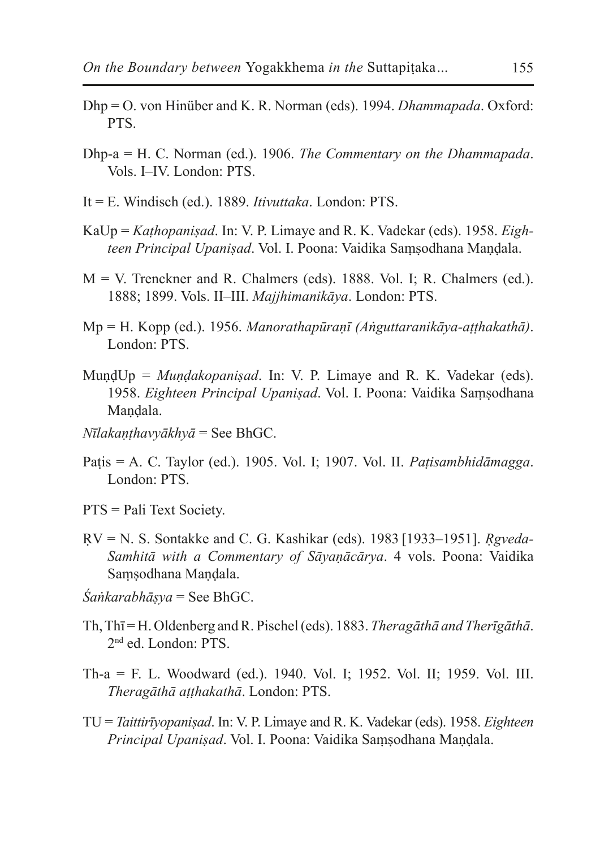- Dhp = O. von Hinüber and K. R. Norman (eds). 1994. *Dhammapada*. Oxford: PTS.
- Dhp-a = H. C. Norman (ed.). 1906. *The Commentary on the Dhammapada*. Vols. I–IV. London: PTS.
- It = E. Windisch (ed.). 1889. *Itivuttaka*. London: PTS.
- KaUp = *Kaṭhopaniṣad*. In: V. P. Limaye and R. K. Vadekar (eds). 1958. *Eighteen Principal Upaniṣad*. Vol. I. Poona: Vaidika Saṃṣodhana Maṇḍala.
- $M = V$ . Trenckner and R. Chalmers (eds). 1888. Vol. I; R. Chalmers (ed.). 1888; 1899. Vols. II–III. *Majjhimanikāya*. London: PTS.
- Mp = H. Kopp (ed.). 1956. *Manorathapūraṇī (Aṅguttaranikāya-aṭṭhakathā)*. London: PTS.
- MuṇḍUp = *Muṇḍakopaniṣad*. In: V. P. Limaye and R. K. Vadekar (eds). 1958. *Eighteen Principal Upaniṣad*. Vol. I. Poona: Vaidika Saṃṣodhana Mandala.
- *Nīlakaṇṭhavyākhyā* = See BhGC.
- Paṭis = A. C. Taylor (ed.). 1905. Vol. I; 1907. Vol. II. *Paṭisambhidāmagga*. London: PTS.
- PTS = Pali Text Society.
- ṚV = N. S. Sontakke and C. G. Kashikar (eds). 1983 [1933–1951]. *Ṛgveda-Samhitā with a Commentary of Sāyaṇācārya*. 4 vols. Poona: Vaidika Saṃṣodhana Maṇḍala.
- *Śaṅkarabhāṣya* = See BhGC.
- Th, Thī = H. Oldenberg and R. Pischel (eds). 1883. *Theragāthā and Therīgāthā*. 2nd ed. London: PTS.
- Th-a = F. L. Woodward (ed.). 1940. Vol. I; 1952. Vol. II; 1959. Vol. III. *Theragāthā aṭṭhakathā*. London: PTS.
- TU = *Taittirīyopaniṣad*. In: V. P. Limaye and R. K. Vadekar (eds). 1958. *Eighteen Principal Upaniṣad*. Vol. I. Poona: Vaidika Saṃṣodhana Maṇḍala.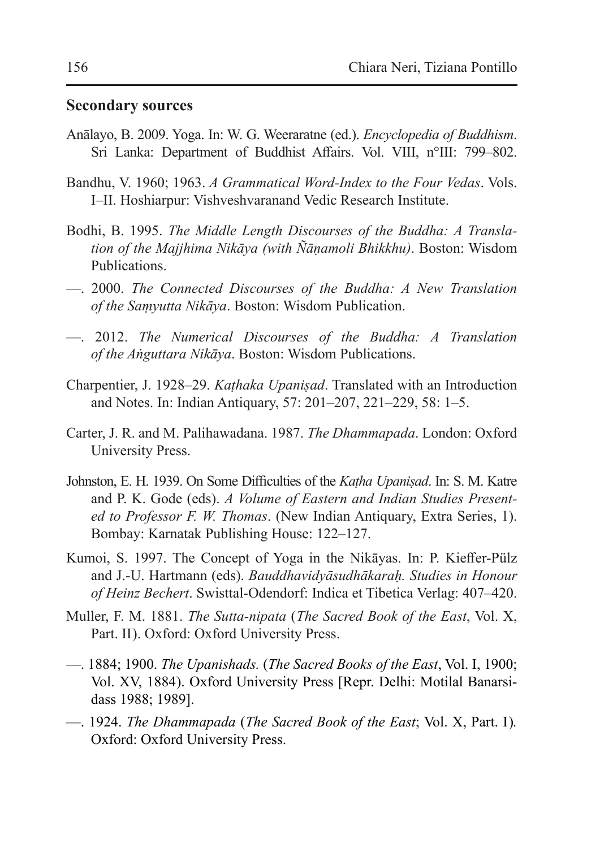#### **Secondary sources**

- Anālayo, B. 2009. Yoga. In: W. G. Weeraratne (ed.). *Encyclopedia of Buddhism*. Sri Lanka: Department of Buddhist Affairs. Vol. VIII, n°III: 799-802.
- Bandhu, V. 1960; 1963. *A Grammatical Word-Index to the Four Vedas*. Vols. I–II. Hoshiarpur: Vishveshvaranand Vedic Research Institute.
- Bodhi, B. 1995. *The Middle Length Discourses of the Buddha: A Translation of the Majjhima Nikāya (with Ñāṇamoli Bhikkhu)*. Boston: Wisdom Publications.
- —. 2000. *The Connected Discourses of the Buddha: A New Translation of the Saṃyutta Nikāya*. Boston: Wisdom Publication.
- —. 2012. *The Numerical Discourses of the Buddha: A Translation of the Aṅguttara Nikāya*. Boston: Wisdom Publications.
- Charpentier, J. 1928–29. *Kaṭhaka Upaniṣad*. Translated with an Introduction and Notes. In: Indian Antiquary, 57: 201–207, 221–229, 58: 1–5.
- Carter, J. R. and M. Palihawadana. 1987. *The Dhammapada*. London: Oxford University Press.
- Johnston, E. H. 1939. On Some Difficulties of the *Kaṭha Upaniṣad*. In: S. M. Katre and P. K. Gode (eds). *A Volume of Eastern and Indian Studies Presented to Professor F. W. Thomas*. (New Indian Antiquary, Extra Series, 1). Bombay: Karnatak Publishing House: 122–127.
- Kumoi, S. 1997. The Concept of Yoga in the Nikāyas. In: P. Kieffer-Pülz and J.-U. Hartmann (eds). *Bauddhavidyāsudhākaraḥ. Studies in Honour of Heinz Bechert*. Swisttal-Odendorf: Indica et Tibetica Verlag: 407–420.
- Muller, F. M. 1881. *The Sutta-nipata* (*The Sacred Book of the East*, Vol. X, Part. II). Oxford: Oxford University Press.
- —. 1884; 1900. *The Upanishads.* (*The Sacred Books of the East*, Vol. I, 1900; Vol. XV, 1884). Oxford University Press [Repr. Delhi: Motilal Banarsidass 1988; 1989].
- —. 1924. *The Dhammapada* (*The Sacred Book of the East*; Vol. X, Part. I)*.*  Oxford: Oxford University Press.